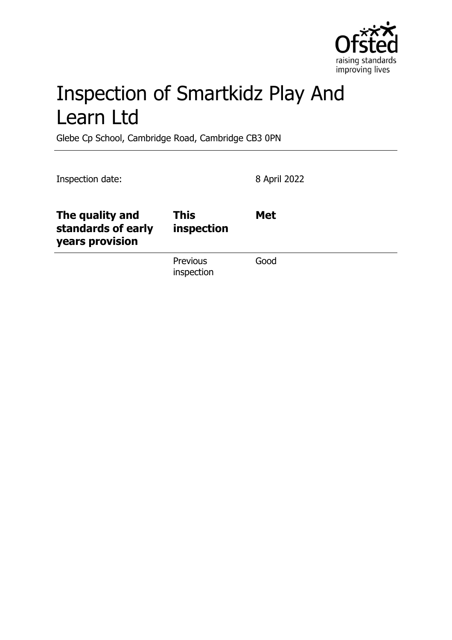

# Inspection of Smartkidz Play And Learn Ltd

Glebe Cp School, Cambridge Road, Cambridge CB3 0PN

| Inspection date:                                         |                           | 8 April 2022 |
|----------------------------------------------------------|---------------------------|--------------|
| The quality and<br>standards of early<br>years provision | <b>This</b><br>inspection | <b>Met</b>   |
|                                                          | Previous<br>inspection    | Good         |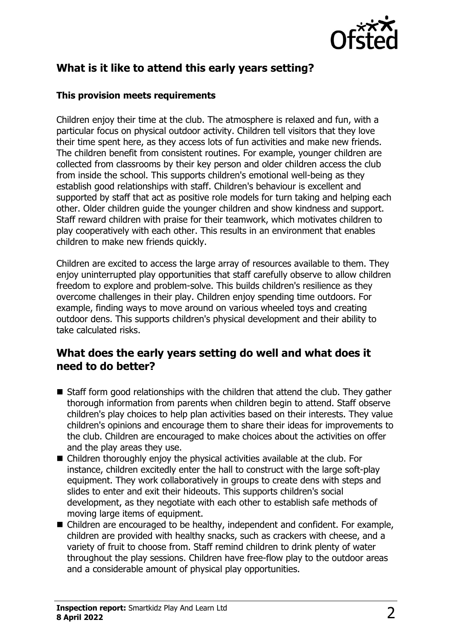

# **What is it like to attend this early years setting?**

#### **This provision meets requirements**

Children enjoy their time at the club. The atmosphere is relaxed and fun, with a particular focus on physical outdoor activity. Children tell visitors that they love their time spent here, as they access lots of fun activities and make new friends. The children benefit from consistent routines. For example, younger children are collected from classrooms by their key person and older children access the club from inside the school. This supports children's emotional well-being as they establish good relationships with staff. Children's behaviour is excellent and supported by staff that act as positive role models for turn taking and helping each other. Older children guide the younger children and show kindness and support. Staff reward children with praise for their teamwork, which motivates children to play cooperatively with each other. This results in an environment that enables children to make new friends quickly.

Children are excited to access the large array of resources available to them. They enjoy uninterrupted play opportunities that staff carefully observe to allow children freedom to explore and problem-solve. This builds children's resilience as they overcome challenges in their play. Children enjoy spending time outdoors. For example, finding ways to move around on various wheeled toys and creating outdoor dens. This supports children's physical development and their ability to take calculated risks.

## **What does the early years setting do well and what does it need to do better?**

- $\blacksquare$  Staff form good relationships with the children that attend the club. They gather thorough information from parents when children begin to attend. Staff observe children's play choices to help plan activities based on their interests. They value children's opinions and encourage them to share their ideas for improvements to the club. Children are encouraged to make choices about the activities on offer and the play areas they use.
- $\blacksquare$  Children thoroughly enjoy the physical activities available at the club. For instance, children excitedly enter the hall to construct with the large soft-play equipment. They work collaboratively in groups to create dens with steps and slides to enter and exit their hideouts. This supports children's social development, as they negotiate with each other to establish safe methods of moving large items of equipment.
- $\blacksquare$  Children are encouraged to be healthy, independent and confident. For example, children are provided with healthy snacks, such as crackers with cheese, and a variety of fruit to choose from. Staff remind children to drink plenty of water throughout the play sessions. Children have free-flow play to the outdoor areas and a considerable amount of physical play opportunities.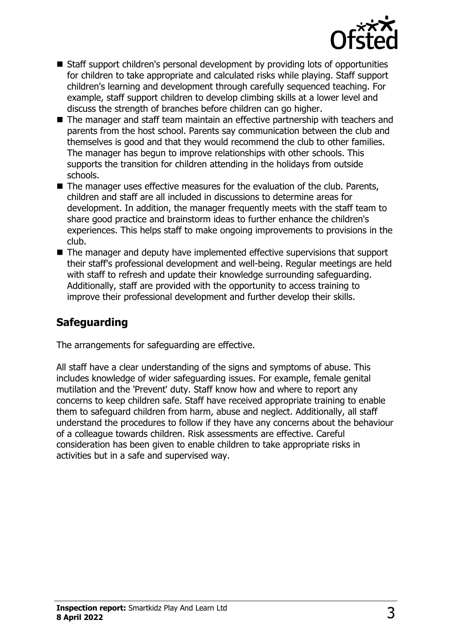

- Staff support children's personal development by providing lots of opportunities for children to take appropriate and calculated risks while playing. Staff support children's learning and development through carefully sequenced teaching. For example, staff support children to develop climbing skills at a lower level and discuss the strength of branches before children can go higher.
- $\blacksquare$  The manager and staff team maintain an effective partnership with teachers and parents from the host school. Parents say communication between the club and themselves is good and that they would recommend the club to other families. The manager has begun to improve relationships with other schools. This supports the transition for children attending in the holidays from outside schools.
- $\blacksquare$  The manager uses effective measures for the evaluation of the club. Parents, children and staff are all included in discussions to determine areas for development. In addition, the manager frequently meets with the staff team to share good practice and brainstorm ideas to further enhance the children's experiences. This helps staff to make ongoing improvements to provisions in the club.
- $\blacksquare$  The manager and deputy have implemented effective supervisions that support their staff's professional development and well-being. Regular meetings are held with staff to refresh and update their knowledge surrounding safeguarding. Additionally, staff are provided with the opportunity to access training to improve their professional development and further develop their skills.

# **Safeguarding**

The arrangements for safeguarding are effective.

All staff have a clear understanding of the signs and symptoms of abuse. This includes knowledge of wider safeguarding issues. For example, female genital mutilation and the 'Prevent' duty. Staff know how and where to report any concerns to keep children safe. Staff have received appropriate training to enable them to safeguard children from harm, abuse and neglect. Additionally, all staff understand the procedures to follow if they have any concerns about the behaviour of a colleague towards children. Risk assessments are effective. Careful consideration has been given to enable children to take appropriate risks in activities but in a safe and supervised way.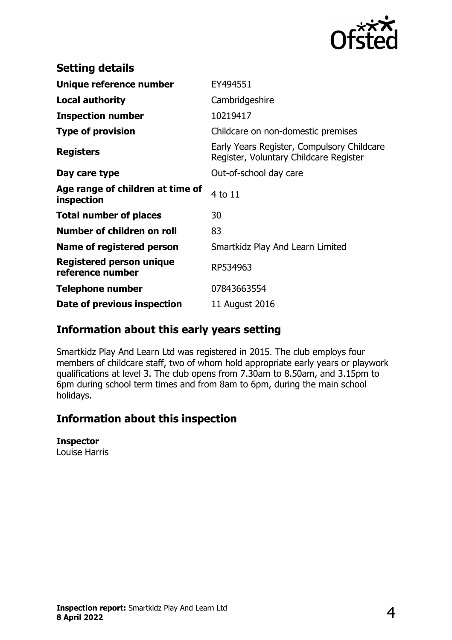

| <b>Setting details</b>                              |                                                                                      |
|-----------------------------------------------------|--------------------------------------------------------------------------------------|
| Unique reference number                             | EY494551                                                                             |
| <b>Local authority</b>                              | Cambridgeshire                                                                       |
| <b>Inspection number</b>                            | 10219417                                                                             |
| <b>Type of provision</b>                            | Childcare on non-domestic premises                                                   |
| <b>Registers</b>                                    | Early Years Register, Compulsory Childcare<br>Register, Voluntary Childcare Register |
| Day care type                                       | Out-of-school day care                                                               |
| Age range of children at time of<br>inspection      | 4 to 11                                                                              |
| <b>Total number of places</b>                       | 30                                                                                   |
| Number of children on roll                          | 83                                                                                   |
| Name of registered person                           | Smartkidz Play And Learn Limited                                                     |
| <b>Registered person unique</b><br>reference number | RP534963                                                                             |
| <b>Telephone number</b>                             | 07843663554                                                                          |
| Date of previous inspection                         | 11 August 2016                                                                       |

# **Information about this early years setting**

Smartkidz Play And Learn Ltd was registered in 2015. The club employs four members of childcare staff, two of whom hold appropriate early years or playwork qualifications at level 3. The club opens from 7.30am to 8.50am, and 3.15pm to 6pm during school term times and from 8am to 6pm, during the main school holidays.

# **Information about this inspection**

#### **Inspector**

Louise Harris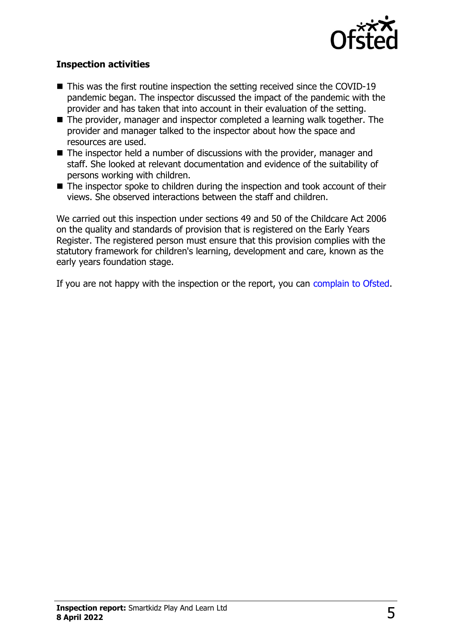

### **Inspection activities**

- $\blacksquare$  This was the first routine inspection the setting received since the COVID-19 pandemic began. The inspector discussed the impact of the pandemic with the provider and has taken that into account in their evaluation of the setting.
- $\blacksquare$  The provider, manager and inspector completed a learning walk together. The provider and manager talked to the inspector about how the space and resources are used.
- $\blacksquare$  The inspector held a number of discussions with the provider, manager and staff. She looked at relevant documentation and evidence of the suitability of persons working with children.
- $\blacksquare$  The inspector spoke to children during the inspection and took account of their views. She observed interactions between the staff and children.

We carried out this inspection under sections 49 and 50 of the Childcare Act 2006 on the quality and standards of provision that is registered on the Early Years Register. The registered person must ensure that this provision complies with the statutory framework for children's learning, development and care, known as the early years foundation stage.

If you are not happy with the inspection or the report, you can [complain to Ofsted](http://www.gov.uk/complain-ofsted-report).